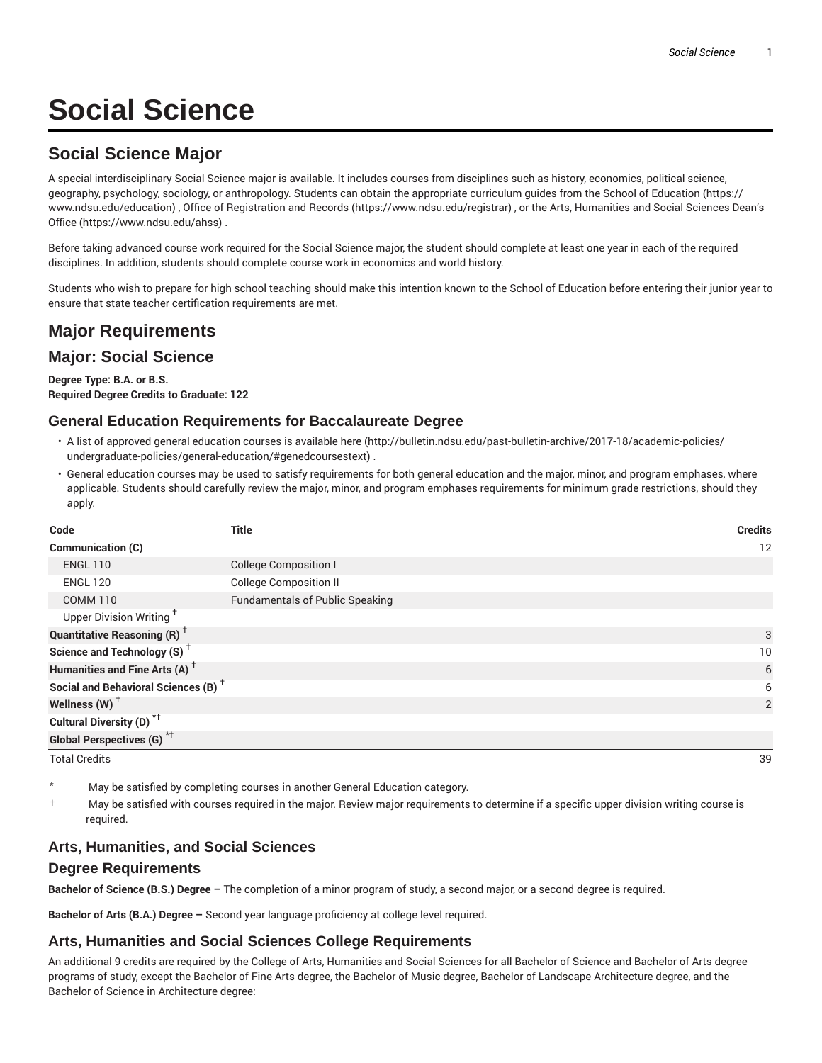# **Social Science**

## **Social Science Major**

A special interdisciplinary Social Science major is available. It includes courses from disciplines such as history, economics, political science, geography, psychology, sociology, or anthropology. Students can obtain the appropriate curriculum guides from the School of Education (https:// www.ndsu.edu/education) , Office of Registration and Records (https://www.ndsu.edu/registrar) , or the Arts, Humanities and Social Sciences Dean's Office (https://www.ndsu.edu/ahss) .

Before taking advanced course work required for the Social Science major, the student should complete at least one year in each of the required disciplines. In addition, students should complete course work in economics and world history.

Students who wish to prepare for high school teaching should make this intention known to the School of Education before entering their junior year to ensure that state teacher certification requirements are met.

## **Major Requirements**

### **Major: Social Science**

**Degree Type: B.A. or B.S. Required Degree Credits to Graduate: 122**

#### **General Education Requirements for Baccalaureate Degree**

- A list of approved general education courses is available here (http://bulletin.ndsu.edu/past-bulletin-archive/2017-18/academic-policies/ undergraduate-policies/general-education/#genedcoursestext) .
- General education courses may be used to satisfy requirements for both general education and the major, minor, and program emphases, where applicable. Students should carefully review the major, minor, and program emphases requirements for minimum grade restrictions, should they apply.

| Code                                            | <b>Title</b>                           | <b>Credits</b> |
|-------------------------------------------------|----------------------------------------|----------------|
| Communication (C)                               |                                        | 12             |
| <b>ENGL 110</b>                                 | <b>College Composition I</b>           |                |
| <b>ENGL 120</b>                                 | <b>College Composition II</b>          |                |
| <b>COMM 110</b>                                 | <b>Fundamentals of Public Speaking</b> |                |
| Upper Division Writing <sup>+</sup>             |                                        |                |
| <b>Quantitative Reasoning (R)</b> <sup>†</sup>  |                                        | 3              |
| Science and Technology (S) <sup>+</sup>         |                                        | 10             |
| Humanities and Fine Arts (A) <sup>+</sup>       |                                        | 6              |
| Social and Behavioral Sciences (B) <sup>+</sup> |                                        | 6              |
| Wellness $(W)$ <sup>+</sup>                     |                                        | 2              |
| Cultural Diversity (D) <sup>*†</sup>            |                                        |                |
| <b>Global Perspectives (G)</b> <sup>*†</sup>    |                                        |                |
| <b>Total Credits</b>                            |                                        | 39             |

- May be satisfied by completing courses in another General Education category.
- † May be satisfied with courses required in the major. Review major requirements to determine if a specific upper division writing course is required.

#### **Arts, Humanities, and Social Sciences**

#### **Degree Requirements**

**Bachelor of Science (B.S.) Degree –** The completion of a minor program of study, a second major, or a second degree is required.

**Bachelor of Arts (B.A.) Degree –** Second year language proficiency at college level required.

#### **Arts, Humanities and Social Sciences College Requirements**

An additional 9 credits are required by the College of Arts, Humanities and Social Sciences for all Bachelor of Science and Bachelor of Arts degree programs of study, except the Bachelor of Fine Arts degree, the Bachelor of Music degree, Bachelor of Landscape Architecture degree, and the Bachelor of Science in Architecture degree: